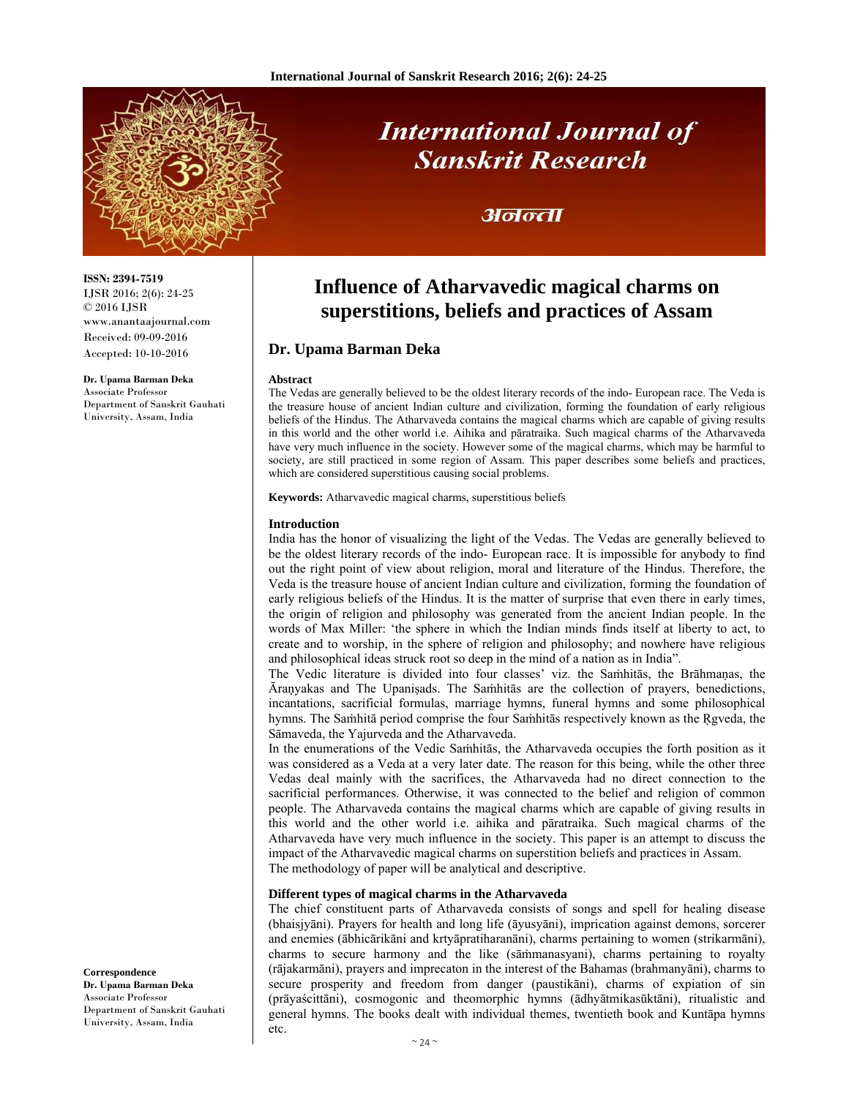

**International Journal of Sanskrit Research** 

## अनन्ता

# **Influence of Atharvavedic magical charms on superstitions, beliefs and practices of Assam**

### **Dr. Upama Barman Deka**

#### **Abstract**

The Vedas are generally believed to be the oldest literary records of the indo- European race. The Veda is the treasure house of ancient Indian culture and civilization, forming the foundation of early religious beliefs of the Hindus. The Atharvaveda contains the magical charms which are capable of giving results in this world and the other world i.e. Aihika and pāratraika. Such magical charms of the Atharvaveda have very much influence in the society. However some of the magical charms, which may be harmful to society, are still practiced in some region of Assam. This paper describes some beliefs and practices, which are considered superstitious causing social problems.

**Keywords:** Atharvavedic magical charms, superstitious beliefs

#### **Introduction**

India has the honor of visualizing the light of the Vedas. The Vedas are generally believed to be the oldest literary records of the indo- European race. It is impossible for anybody to find out the right point of view about religion, moral and literature of the Hindus. Therefore, the Veda is the treasure house of ancient Indian culture and civilization, forming the foundation of early religious beliefs of the Hindus. It is the matter of surprise that even there in early times, the origin of religion and philosophy was generated from the ancient Indian people. In the words of Max Miller: 'the sphere in which the Indian minds finds itself at liberty to act, to create and to worship, in the sphere of religion and philosophy; and nowhere have religious and philosophical ideas struck root so deep in the mind of a nation as in India".

The Vedic literature is divided into four classes' viz. the Saṁhitās, the Brāhmaṇas, the Āraņyakas and The Upaniṣads. The Saṁhitās are the collection of prayers, benedictions, incantations, sacrificial formulas, marriage hymns, funeral hymns and some philosophical hymns. The Samhitā period comprise the four Samhitās respectively known as the Rgveda, the Sāmaveda, the Yajurveda and the Atharvaveda.

In the enumerations of the Vedic Saṁhitās, the Atharvaveda occupies the forth position as it was considered as a Veda at a very later date. The reason for this being, while the other three Vedas deal mainly with the sacrifices, the Atharvaveda had no direct connection to the sacrificial performances. Otherwise, it was connected to the belief and religion of common people. The Atharvaveda contains the magical charms which are capable of giving results in this world and the other world i.e. aihika and pāratraika. Such magical charms of the Atharvaveda have very much influence in the society. This paper is an attempt to discuss the impact of the Atharvavedic magical charms on superstition beliefs and practices in Assam. The methodology of paper will be analytical and descriptive.

#### **Different types of magical charms in the Atharvaveda**

The chief constituent parts of Atharvaveda consists of songs and spell for healing disease (bhaisjyāni). Prayers for health and long life (āyusyāni), imprication against demons, sorcerer and enemies (ābhicārikāni and krtyāpratiharanāni), charms pertaining to women (strikarmāni), charms to secure harmony and the like (sāṁmanasyani), charms pertaining to royalty (rājakarmāni), prayers and imprecaton in the interest of the Bahamas (brahmanyāni), charms to secure prosperity and freedom from danger (paustikāni), charms of expiation of sin (prāyaścittāni), cosmogonic and theomorphic hymns (ādhyātmikasūktāni), ritualistic and general hymns. The books dealt with individual themes, twentieth book and Kuntāpa hymns etc.

**ISSN: 2394-7519** IJSR 2016; 2(6): 24-25 © 2016 IJSR www.anantaajournal.com Received: 09-09-2016 Accepted: 10-10-2016

**Dr. Upama Barman Deka**  Associate Professor Department of Sanskrit Gauhati University, Assam, India

**Correspondence Dr. Upama Barman Deka**  Associate Professor Department of Sanskrit Gauhati University, Assam, India